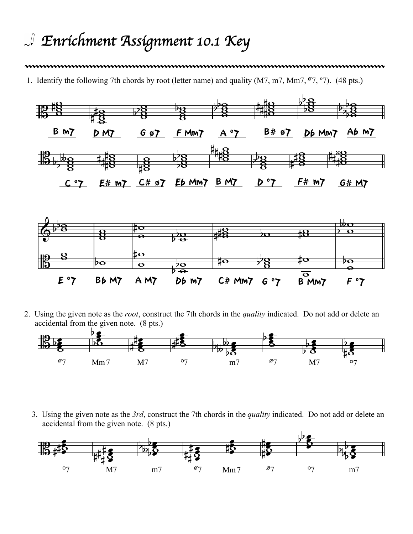## *Enrichment Assignment 10.1 Key*

## 

1. Identify the following 7th chords by root (letter name) and quality  $(M7, m7, Mm7, <sup>6</sup>7, <sup>9</sup>7)$ . (48 pts.)



2. Using the given note as the *root*, construct the 7th chords in the *quality* indicated. Do not add or delete an accidental from the given note. (8 pts.)



3. Using the given note as the *3rd*, construct the 7th chords in the *quality* indicated. Do not add or delete an accidental from the given note. (8 pts.)